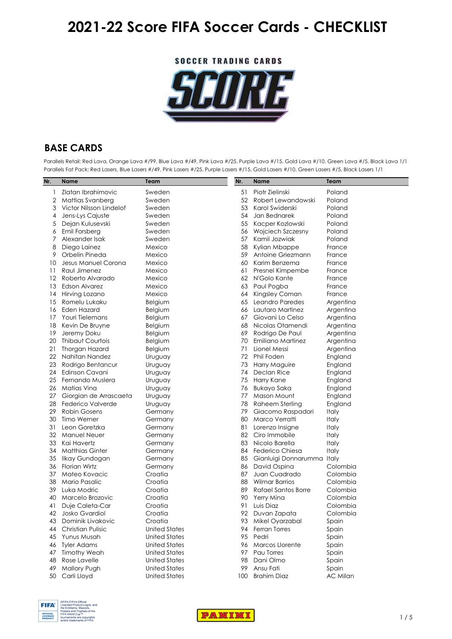**SOCCER TRADING CARDS** 



### **BASE CARDS**

Parallels Retail: Red Lava, Orange Lava #/99, Blue Lava #/49, Pink Lava #/25, Purple Lava #/15, Gold Lava #/10, Green Lava #/5, Black Lava 1/1 Parallels Fat Pack: Red Lasers, Blue Lasers #/49, Pink Lasers #/25, Purple Lasers #/15, Gold Lasers #/10, Green Lasers #/5, Black Lasers 1/1

| Nr. | <b>Name</b>             | Team                 | Nr. | <b>Name</b>                | Team         |
|-----|-------------------------|----------------------|-----|----------------------------|--------------|
|     | Zlatan Ibrahimovic      | Sweden               | 51  | Piotr Zielinski            | Poland       |
| 2   | <b>Mattias Svanberg</b> | Sweden               | 52  | Robert Lewandowski         | Poland       |
| 3   | Victor Nilsson Lindelof | Sweden               | 53  | Karol Swiderski            | Poland       |
| 4   | Jens-Lys Cajuste        | Sweden               | 54  | Jan Bednarek               | Poland       |
| 5   | Dejan Kulusevski        | Sweden               | 55  | Kacper Kozlowski           | Poland       |
| 6   | Emil Forsberg           | Sweden               | 56  | Wojciech Szczesny          | Poland       |
|     | Alexander Isak          | Sweden               | 57  | Kamil Jozwiak              | Poland       |
| 8   | Diego Lainez            | Mexico               | 58  | Kylian Mbappe              | France       |
| 9   | Orbelin Pineda          | Mexico               | 59  | Antoine Griezmann          | France       |
| 10  | Jesus Manuel Corona     | Mexico               | 60  | Karim Benzema              | France       |
| 11  | Raul Jimenez            | Mexico               | 61  | Presnel Kimpembe           | France       |
| 12  | Roberto Alvarado        | Mexico               | 62  | N'Golo Kante               | France       |
| 13  | Edson Alvarez           | Mexico               | 63  | Paul Pogba                 | France       |
| 14  | Hirving Lozano          | Mexico               | 64  | Kingsley Coman             | France       |
| 15  | Romelu Lukaku           | Belgium              | 65  | Leandro Paredes            | Argentina    |
| 16  | <b>Eden Hazard</b>      | Belgium              | 66  | Lautaro Martinez           | Argentina    |
| 17  | Youri Tielemans         | Belgium              | 67  | Giovani Lo Celso           | Argentina    |
| 18  | Kevin De Bruyne         | Belgium              | 68  | Nicolas Otamendi           | Argentina    |
| 19  | Jeremy Doku             | Belgium              | 69  | Rodrigo De Paul            | Argentina    |
| 20  | <b>Thibaut Courtois</b> | Belgium              | 70  | <b>Emiliano Martinez</b>   | Argentina    |
| 21  | <b>Thorgan Hazard</b>   | Belgium              | 71  | Lionel Messi               | Argentina    |
| 22  | Nahitan Nandez          | Uruguay              | 72  | Phil Foden                 | England      |
| 23  | Rodrigo Bentancur       | Uruguay              | 73  | Harry Maguire              | England      |
| 24  | Edinson Cavani          | Uruguay              | 74  | Declan Rice                | England      |
| 25  | Fernando Muslera        | Uruguay              | 75  | Harry Kane                 | England      |
| 26  | Matias Vina             | Uruguay              | 76  | <b>Bukayo Saka</b>         | England      |
| 27  | Giorgian de Arrascaeta  | Uruguay              | 77  | Mason Mount                | England      |
| 28  | Federico Valverde       | Uruguay              | 78  | <b>Raheem Sterling</b>     | England      |
| 29  | <b>Robin Gosens</b>     | Germany              | 79  | Giacomo Raspadori          | <b>Italy</b> |
| 30  | Timo Werner             | Germany              | 80  | Marco Verratti             | <b>Italy</b> |
| 31  | Leon Goretzka           | Germany              | 81  | Lorenzo Insigne            | <b>Italy</b> |
| 32  | <b>Manuel Neuer</b>     | Germany              | 82  | Ciro Immobile              | Italy        |
| 33  | Kai Havertz             | Germany              | 83  | Nicolo Barella             | Italy        |
| 34  | <b>Matthias Ginter</b>  | Germany              | 84  | Federico Chiesa            | <b>Italy</b> |
| 35  | Ilkay Gundogan          | Germany              | 85  | Gianluigi Donnarumma Italy |              |
| 36  | Florian Wirtz           | Germany              | 86  | David Ospina               | Colombia     |
| 37  | Mateo Kovacic           | Croatia              | 87  | Juan Cuadrado              | Colombia     |
| 38  | Mario Pasalic           | Croatia              | 88  | <b>Wilmar Barrios</b>      | Colombia     |
| 39  | Luka Modric             | Croatia              | 89  | <b>Rafael Santos Borre</b> | Colombia     |
| 40  | Marcelo Brozovic        | Croatia              | 90  | Yerry Mina                 | Colombia     |
| 41  | Duje Caleta-Car         | Croatia              | 91  | Luis Diaz                  | Colombia     |
| 42  | Josko Gvardiol          | Croatia              | 92  | Duvan Zapata               | Colombia     |
| 43  | Dominik Livakovic       | Croatia              | 93  | Mikel Oyarzabal            | Spain        |
| 44  | Christian Pulisic       | <b>United States</b> | 94  | Ferran Torres              | Spain        |
| 45  | Yunus Musah             | <b>United States</b> | 95  | Pedri                      | Spain        |
| 46  | <b>Tyler Adams</b>      | <b>United States</b> | 96  | Marcos Llorente            | Spain        |
| 47  | <b>Timothy Weah</b>     | <b>United States</b> | 97  | Pau Torres                 | Spain        |
| 48  | <b>Rose Lavelle</b>     | <b>United States</b> | 98  | Dani Olmo                  | Spain        |
| 49  | <b>Mallory Pugh</b>     | <b>United States</b> | 99  | Ansu Fati                  | Spain        |
| 50  | Carli Lloyd             | <b>United States</b> | 100 | <b>Brahim Diaz</b>         | AC Milan     |



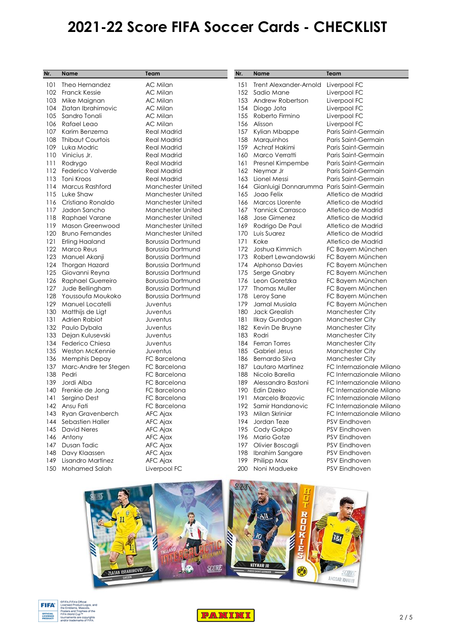| Nr. | <b>Name</b>              | Team                     | Nr. | <b>Name</b>                   | Team                     |
|-----|--------------------------|--------------------------|-----|-------------------------------|--------------------------|
| 101 | Theo Hernandez           | <b>AC Milan</b>          | 151 | <b>Trent Alexander-Arnold</b> | Liverpool FC             |
| 102 | <b>Franck Kessie</b>     | <b>AC Milan</b>          | 152 | Sadio Mane                    | Liverpool FC             |
| 103 | Mike Maignan             | <b>AC Milan</b>          | 153 | Andrew Robertson              | Liverpool FC             |
| 104 | Zlatan Ibrahimovic       | <b>AC Milan</b>          | 154 | Diogo Jota                    | Liverpool FC             |
| 105 | Sandro Tonali            | <b>AC Milan</b>          | 155 | Roberto Firmino               | Liverpool FC             |
| 106 | Rafael Leao              | <b>AC Milan</b>          | 156 | Alisson                       | Liverpool FC             |
| 107 | Karim Benzema            | <b>Real Madrid</b>       | 157 | Kylian Mbappe                 | Paris Saint-Germain      |
| 108 | <b>Thibaut Courtois</b>  | <b>Real Madrid</b>       | 158 | Marquinhos                    | Paris Saint-Germain      |
| 109 | Luka Modric              | <b>Real Madrid</b>       | 159 | Achraf Hakimi                 | Paris Saint-Germain      |
| 110 | Vinicius Jr.             | <b>Real Madrid</b>       | 160 | Marco Verratti                | Paris Saint-Germain      |
| 111 | Rodrygo                  | <b>Real Madrid</b>       | 161 | Presnel Kimpembe              | Paris Saint-Germain      |
| 112 | Federico Valverde        | <b>Real Madrid</b>       | 162 | Neymar Jr                     | Paris Saint-Germain      |
| 113 | Toni Kroos               | <b>Real Madrid</b>       | 163 | Lionel Messi                  | Paris Saint-Germain      |
| 114 | Marcus Rashford          | <b>Manchester United</b> | 164 | Gianluigi Donnarumma          | Paris Saint-Germain      |
| 115 | Luke Shaw                | <b>Manchester United</b> | 165 | Joao Felix                    | Atletico de Madrid       |
| 116 | Cristiano Ronaldo        | <b>Manchester United</b> | 166 | Marcos Llorente               | Atletico de Madrid       |
| 117 | Jadon Sancho             | <b>Manchester United</b> | 167 | <b>Yannick Carrasco</b>       | Atletico de Madrid       |
| 118 | Raphael Varane           | <b>Manchester United</b> | 168 | Jose Gimenez                  | Atletico de Madrid       |
| 119 | Mason Greenwood          | <b>Manchester United</b> | 169 | Rodrigo De Paul               | Atletico de Madrid       |
| 120 | <b>Bruno Fernandes</b>   | <b>Manchester United</b> | 170 | Luis Suarez                   | Atletico de Madrid       |
| 121 | Erling Haaland           | <b>Borussia Dortmund</b> | 171 | Koke                          | Atletico de Madrid       |
| 122 | <b>Marco Reus</b>        | <b>Borussia Dortmund</b> | 172 | Joshua Kimmich                | FC Bayern München        |
| 123 | Manuel Akanji            | <b>Borussia Dortmund</b> | 173 | Robert Lewandowski            | FC Bayern München        |
| 124 | Thorgan Hazard           | <b>Borussia Dortmund</b> | 174 | <b>Alphonso Davies</b>        | FC Bayern München        |
| 125 | Giovanni Reyna           | <b>Borussia Dortmund</b> | 175 | Serge Gnabry                  | FC Bayern München        |
| 126 | <b>Raphael Guerreiro</b> | <b>Borussia Dortmund</b> | 176 | Leon Goretzka                 | FC Bayern München        |
| 127 | Jude Bellingham          | <b>Borussia Dortmund</b> | 177 | <b>Thomas Muller</b>          | FC Bayern München        |
| 128 | Youssoufa Moukoko        | <b>Borussia Dortmund</b> | 178 | Leroy Sane                    | FC Bayern München        |
| 129 | Manuel Locatelli         | Juventus                 | 179 | Jamal Musiala                 | FC Bayern München        |
| 130 | Matthijs de Ligt         | Juventus                 | 180 | <b>Jack Grealish</b>          | <b>Manchester City</b>   |
| 131 | Adrien Rabiot            | Juventus                 | 181 | Ilkay Gundogan                | Manchester City          |
| 132 | Paulo Dybala             | Juventus                 | 182 | Kevin De Bruyne               | <b>Manchester City</b>   |
| 133 | Dejan Kulusevski         | Juventus                 | 183 | Rodri                         | <b>Manchester City</b>   |
| 134 | Federico Chiesa          | Juventus                 | 184 | <b>Ferran Torres</b>          | <b>Manchester City</b>   |
| 135 | <b>Weston McKennie</b>   | Juventus                 | 185 | <b>Gabriel Jesus</b>          | <b>Manchester City</b>   |
| 136 | <b>Memphis Depay</b>     | FC Barcelona             | 186 | Bernardo Silva                | <b>Manchester City</b>   |
| 137 | Marc-Andre ter Stegen    | FC Barcelona             | 187 | Lautaro Martinez              | FC Internazionale Milano |
| 138 | Pedri                    | FC Barcelona             | 188 | Nicolo Barella                | FC Internazionale Milano |
| 139 | Jordi Alba               | FC Barcelona             | 189 | Alessandro Bastoni            | FC Internazionale Milano |
| 140 | Frenkie de Jong          | FC Barcelona             | 190 | Edin Dzeko                    | FC Internazionale Milano |
| 141 | Sergino Dest             | FC Barcelona             | 191 | Marcelo Brozovic              | FC Internazionale Milano |
| 142 | Ansu Fati                | FC Barcelona             | 192 | Samir Handanovic              | FC Internazionale Milano |
| 143 | Ryan Gravenberch         | AFC Ajax                 | 193 | Milan Skriniar                | FC Internazionale Milano |
| 144 | Sebastien Haller         | AFC Ajax                 | 194 | Jordan Teze                   | <b>PSV Eindhoven</b>     |
| 145 | <b>David Neres</b>       | AFC Ajax                 | 195 | Cody Gakpo                    | <b>PSV Eindhoven</b>     |
| 146 | Antony                   | AFC Ajax                 | 196 | Mario Gotze                   | <b>PSV Eindhoven</b>     |
| 147 | Dusan Tadic              | AFC Ajax                 | 197 | Olivier Boscagli              | <b>PSV Eindhoven</b>     |
| 148 | Davy Klaassen            | AFC Ajax                 | 198 | Ibrahim Sangare               | PSV Eindhoven            |
| 149 | Lisandro Martinez        | AFC Ajax                 | 199 | Philipp Max                   | <b>PSV Eindhoven</b>     |
| 150 | <b>Mohamed Salah</b>     | Liverpool FC             | 200 | Noni Madueke                  | PSV Eindhoven            |
|     |                          |                          |     |                               |                          |





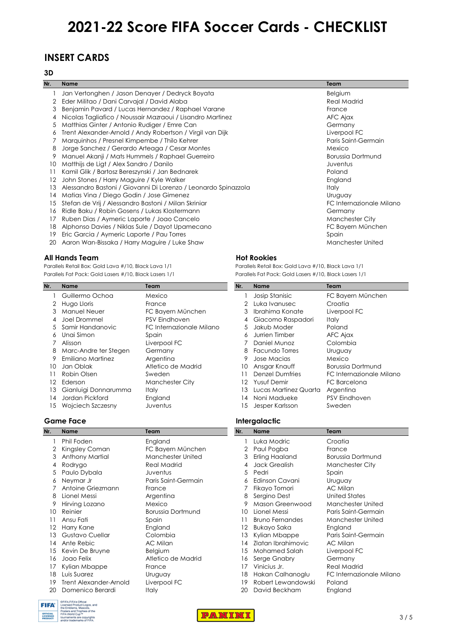### **INSERT CARDS**

#### **3D**

| Nr. | <b>Name</b>                                                    | <b>Team</b>              |
|-----|----------------------------------------------------------------|--------------------------|
|     | Jan Vertonghen / Jason Denayer / Dedryck Boyata                | Belgium                  |
| 2   | Eder Militao / Dani Carvajal / David Alaba                     | <b>Real Madrid</b>       |
| 3   | Benjamin Pavard / Lucas Hernandez / Raphael Varane             | France                   |
|     | Nicolas Tagliafico / Noussair Mazraoui / Lisandro Martinez     | AFC Ajax                 |
| 5   | Matthias Ginter / Antonio Rudiger / Emre Can                   | Germany                  |
| 6   | Trent Alexander-Arnold / Andy Robertson / Virgil van Dijk      | Liverpool FC             |
|     | Marquinhos / Presnel Kimpembe / Thilo Kehrer                   | Paris Saint-Germain      |
| 8   | Jorge Sanchez / Gerardo Arteaga / Cesar Montes                 | Mexico                   |
| 9.  | Manuel Akanji / Mats Hummels / Raphael Guerreiro               | <b>Borussia Dortmund</b> |
| 10  | Matthijs de Ligt / Alex Sandro / Danilo                        | Juventus                 |
|     | Kamil Glik / Bartosz Bereszynski / Jan Bednarek                | Poland                   |
| 12  | John Stones / Harry Maguire / Kyle Walker                      | England                  |
| 13  | Alessandro Bastoni / Giovanni Di Lorenzo / Leonardo Spinazzola | Italy                    |
| 14  | Matias Vina / Diego Godin / Jose Gimenez                       | Uruguay                  |
| 15  | Stefan de Vrij / Alessandro Bastoni / Milan Skriniar           | FC Internazionale Milano |
| 16  | Ridle Baku / Robin Gosens / Lukas Klostermann                  | Germany                  |
| 17  | Ruben Dias / Aymeric Laporte / Joao Cancelo                    | Manchester City          |
| 18  | Alphonso Davies / Niklas Sule / Dayot Upamecano                | FC Bayern München        |
| 19  | Eric Garcia / Aymeric Laporte / Pau Torres                     | Spain                    |
| 20  | Aaron Wan-Bissaka / Harry Maguire / Luke Shaw                  | <b>Manchester United</b> |

1 Josip Stanisic FC Bayern München

10 Ansgar Knauff Borussia Dortmund

12 Yusuf Demir FC Barcelona 13 Lucas Martinez Quarta Argentina 14 Noni Madueke PSV Eindhoven

11 Denzel Dumfries FC Internazionale Milano

2 Luka Ivanusec Croatia 3 Ibrahima Konate Liverpool FC

#### **All Hands Team Hot Rookies**

Parallels Retail Box: Gold Lava #/10, Black Lava 1/1 Parallels Retail Box: Gold Lava #/10, Black Lava 1/1 Parallels Fat Pack: Gold Lasers #/10, Black Lasers 1/1 Parallels Fat Pack: Gold Lasers #/10, Black Lasers 1/1

| Nr. | <b>Name</b>           | Team                     | Nr.           | <b>Name</b>            | Team            |
|-----|-----------------------|--------------------------|---------------|------------------------|-----------------|
|     | Guillermo Ochoa       | Mexico                   |               | Josip Stanisic         | FC Bayer        |
| 2   | Hugo Lloris           | France                   | $\mathcal{P}$ | Luka Ivanusec          | Croatia         |
| 3   | <b>Manuel Neuer</b>   | FC Bayern München        | 3             | Ibrahima Konate        | Liverpoo        |
|     | Joel Drommel          | <b>PSV Eindhoven</b>     | 4             | Giacomo Raspadori      | <b>Italy</b>    |
|     | 5 Samir Handanovic    | FC Internazionale Milano | 5.            | Jakub Moder            | Poland          |
| 6   | Unai Simon            | Spain                    | 6             | Jurrien Timber         | AFC Ajax        |
|     | Alisson               | Liverpool FC             |               | Daniel Munoz           | Colombi         |
| 8   | Marc-Andre ter Stegen | Germany                  | 8             | Facundo Torres         | Uruguay         |
| 9   | Emiliano Martinez     | Argentina                |               | Jose Macias            | Mexico          |
| 10  | Jan Oblak             | Atletico de Madrid       | 10            | Ansgar Knauff          | Borussia I      |
| 11  | Robin Olsen           | Sweden                   | 11            | <b>Denzel Dumfries</b> | FC Intern       |
| 12  | Ederson               | <b>Manchester City</b>   | 12.           | <b>Yusuf Demir</b>     | <b>FC Barce</b> |
| 13  | Gianluigi Donnarumma  | <b>Italy</b>             | 13.           | Lucas Martinez Quarta  | Argentine       |
| 14  | Jordan Pickford       | England                  | 14            | Noni Madueke           | PSV Eind        |
| 15  | Wojciech Szczesny     | Juventus                 | 15            | Jesper Karlsson        | Sweden          |

#### **Game Face Intergalactic**

| Nr. | <b>Name</b>            | Team                     | Nr. | <b>Name</b>            | Team                     |  |  |  |
|-----|------------------------|--------------------------|-----|------------------------|--------------------------|--|--|--|
|     | Phil Foden             | England                  |     | Luka Modric            | Croatia                  |  |  |  |
| 2   | Kingsley Coman         | FC Bayern München        | 2   | Paul Pogba             | France                   |  |  |  |
| 3   | Anthony Martial        | Manchester United        | 3   | <b>Erling Haaland</b>  | <b>Borussia Dortmund</b> |  |  |  |
| 4   | Rodrygo                | <b>Real Madrid</b>       | 4   | <b>Jack Grealish</b>   | <b>Manchester City</b>   |  |  |  |
| 5   | Paulo Dybala           | Juventus                 | 5.  | Pedri                  | Spain                    |  |  |  |
| 6   | Neymar Jr              | Paris Saint-Germain      | 6   | Edinson Cavani         | Uruguay                  |  |  |  |
|     | Antoine Griezmann      | France                   |     | Fikayo Tomori          | AC Milan                 |  |  |  |
| 8   | Lionel Messi           | Argentina                | 8   | Sergino Dest           | <b>United States</b>     |  |  |  |
|     | Hirving Lozano         | Mexico                   | 9   | Mason Greenwood        | <b>Manchester United</b> |  |  |  |
| 10  | Reinier                | <b>Borussia Dortmund</b> | 10  | Lionel Messi           | Paris Saint-Germain      |  |  |  |
|     | Ansu Fati              | Spain                    | 11  | <b>Bruno Fernandes</b> | Manchester United        |  |  |  |
|     | Harry Kane             | England                  | 12  | Bukayo Saka            | England                  |  |  |  |
| 13  | Gustavo Cuellar        | Colombia                 | 13  | Kylian Mbappe          | Paris Saint-Germain      |  |  |  |
| 14  | Ante Rebic             | AC Milan                 | l 4 | Zlatan Ibrahimovic     | AC Milan                 |  |  |  |
| 15  | Kevin De Bruyne        | Belgium                  | 15  | <b>Mohamed Salah</b>   | Liverpool FC             |  |  |  |
| 16  | Joao Felix             | Atletico de Madrid       | 16  | Serge Gnabry           | Germany                  |  |  |  |
|     | Kylian Mbappe          | France                   | 17  | Vinicius Jr.           | <b>Real Madrid</b>       |  |  |  |
| 18  | Luis Suarez            | Uruguay                  | 18  | Hakan Calhanoglu       | FC Internazionale Milano |  |  |  |
| 19  | Trent Alexander-Arnold | Liverpool FC             | 19  | Robert Lewandowski     | Poland                   |  |  |  |
| 20  | Domenico Berardi       | <b>Italy</b>             | 20  | David Beckham          | England                  |  |  |  |



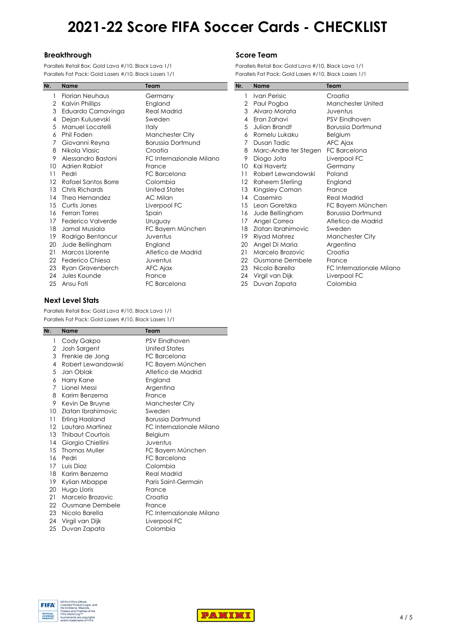#### **Breakthrough <b>Score Team**

Parallels Retail Box: Gold Lava #/10, Black Lava 1/1 Parallels Retail Box: Gold Lava #/10, Black Lava 1/1 Parallels Fat Pack: Gold Lasers #/10, Black Lasers 1/1 Parallels Fat Pack: Gold Lasers #/10, Black Lasers 1/1

| Nr. | <b>Name</b>                | Team                     | Nr. | <b>Name</b>            | Team                     |
|-----|----------------------------|--------------------------|-----|------------------------|--------------------------|
|     | <b>Florian Neuhaus</b>     | Germany                  |     | <b>Ivan Perisic</b>    | Croatia                  |
| 2   | Kalvin Phillips            | England                  | 2   | Paul Pogba             | Manchester United        |
| 3   | Eduardo Camavinga          | <b>Real Madrid</b>       | 3   | Alvaro Morata          | Juventus                 |
| 4   | Dejan Kulusevski           | Sweden                   | 4   | Eran Zahavi            | <b>PSV Eindhoven</b>     |
| 5   | Manuel Locatelli           | <b>Italy</b>             | 5   | Julian Brandt          | <b>Borussia Dortmund</b> |
| 6   | Phil Foden                 | <b>Manchester City</b>   | 6   | Romelu Lukaku          | Belgium                  |
|     | Giovanni Reyna             | <b>Borussia Dortmund</b> |     | Dusan Tadic            | AFC Ajax                 |
| 8   | Nikola Vlasic              | Croatia                  | 8   | Marc-Andre ter Stegen  | FC Barcelona             |
| 9   | Alessandro Bastoni         | FC Internazionale Milano | 9   | Diogo Jota             | Liverpool FC             |
| 10  | Adrien Rabiot              | France                   | 10  | Kai Havertz            | Germany                  |
| 11  | Pedri                      | FC Barcelona             | 11  | Robert Lewandowski     | Poland                   |
| 12  | <b>Rafael Santos Borre</b> | Colombia                 | 12  | Raheem Sterling        | England                  |
| 13  | Chris Richards             | <b>United States</b>     | 13  | Kingsley Coman         | France                   |
| 14  | Theo Hernandez             | AC Milan                 | 14  | Casemiro               | <b>Real Madrid</b>       |
| 15  | Curtis Jones               | Liverpool FC             | 15  | Leon Goretzka          | FC Bayern München        |
| 16  | Ferran Torres              | Spain                    | 16  | Jude Bellingham        | <b>Borussia Dortmund</b> |
| 17  | Federico Valverde          | Uruguay                  | 17  | Angel Correa           | Atletico de Madrid       |
| 18  | Jamal Musiala              | FC Bayern München        | 18  | Zlatan Ibrahimovic     | Sweden                   |
| 19  | Rodrigo Bentancur          | Juventus                 | 19  | Riyad Mahrez           | <b>Manchester City</b>   |
| 20  | Jude Bellingham            | England                  | 20  | Angel Di Maria         | Argentina                |
| 21  | Marcos Llorente            | Atletico de Madrid       | 21  | Marcelo Brozovic       | Croatia                  |
| 22  | Federico Chiesa            | Juventus                 | 22  | <b>Ousmane Dembele</b> | France                   |
| 23  | Ryan Gravenberch           | AFC Ajax                 | 23  | Nicolo Barella         | FC Internazionale Milano |
| 24  | Jules Kounde               | France                   | 24  | Virgil van Dijk        | Liverpool FC             |
| 25  | Ansu Fati                  | FC Barcelona             | 25  | Duvan Zapata           | Colombia                 |
|     |                            |                          |     |                        |                          |

|                | <b>Name</b>           | Team                     |
|----------------|-----------------------|--------------------------|
| $\mathbf{1}$   | <b>Ivan Perisic</b>   | Croatia                  |
| $\overline{2}$ | Paul Pogba            | Manchester United        |
| 3              | Alvaro Morata         | Juventus                 |
| 4              | Eran Zahavi           | <b>PSV Eindhoven</b>     |
| 5              | Julian Brandt         | <b>Borussia Dortmund</b> |
| 6              | Romelu Lukaku         | <b>Belgium</b>           |
| 7              | Dusan Tadic           | AFC Ajax                 |
| 8              | Marc-Andre ter Stegen | FC Barcelona             |
| 9              | Diogo Jota            | Liverpool FC             |
| 0              | Kai Havertz           | Germany                  |
| 1              | Robert Lewandowski    | Poland                   |
| 2              | Raheem Sterling       | England                  |
| 3              | Kingsley Coman        | France                   |
| 4              | Casemiro              | <b>Real Madrid</b>       |
| 5              | Leon Goretzka         | FC Bayern München        |
| 6              | Jude Bellingham       | <b>Borussia Dortmund</b> |
| 7              | Angel Correa          | Atletico de Madrid       |
| 8              | Zlatan Ibrahimovic    | Sweden                   |
| 9              | Riyad Mahrez          | <b>Manchester City</b>   |
| 0              | Angel Di Maria        | Argentina                |
| !1             | Marcelo Brozovic      | Croatia                  |
| $2^{\circ}$    | Ousmane Dembele       | France                   |
| .3             | Nicolo Barella        | FC Internazionale Milano |
| 4              | Virgil van Dijk       | Liverpool FC             |
| :5             | Duvan Zapata          | Colombia                 |

#### **Next Level Stats**

Parallels Retail Box: Gold Lava #/10, Black Lava 1/1 Parallels Fat Pack: Gold Lasers #/10, Black Lasers 1/1

| Nr.               | <b>Name</b>            | Team                     |
|-------------------|------------------------|--------------------------|
| 1                 | Cody Gakpo             | <b>PSV Eindhoven</b>     |
| 2                 | Josh Sargent           | United States            |
| 3                 | Frenkie de Jong        | FC Barcelona             |
| 4                 | Robert Lewandowski     | FC Bayern München        |
| 5                 | Jan Oblak              | Atletico de Madrid       |
| 6                 | Harry Kane             | England                  |
| 7                 | Lionel Messi           | Argentina                |
| 8                 | Karim Benzema          | France                   |
| 9                 | Kevin De Bruyne        | <b>Manchester City</b>   |
| 10                | Zlatan Ibrahimovic     | Sweden                   |
| 11                | Erling Haaland         | <b>Borussia Dortmund</b> |
| $12 \overline{ }$ | Lautaro Martinez       | FC Internazionale Milano |
| 13 <sup>7</sup>   | Thibaut Courtois       | <b>Belgium</b>           |
| 14                | Giorgio Chiellini      | Juventus                 |
| 15                | <b>Thomas Muller</b>   | FC Bayern München        |
| 16                | Pedri                  | FC Barcelona             |
| 17                | Luis Diaz              | Colombia                 |
| 18                | Karim Benzema          | <b>Real Madrid</b>       |
| 19                | Kylian Mbappe          | Paris Saint-Germain      |
| 20                | Hugo Lloris            | France                   |
| 21                | Marcelo Brozovic       | Croatia                  |
| 22                | <b>Ousmane Dembele</b> | France                   |
| 23                | Nicolo Barella         | FC Internazionale Milano |
| 24                | Virgil van Dijk        | Liverpool FC             |
| 25                | Duvan Zapata           | Colombia                 |